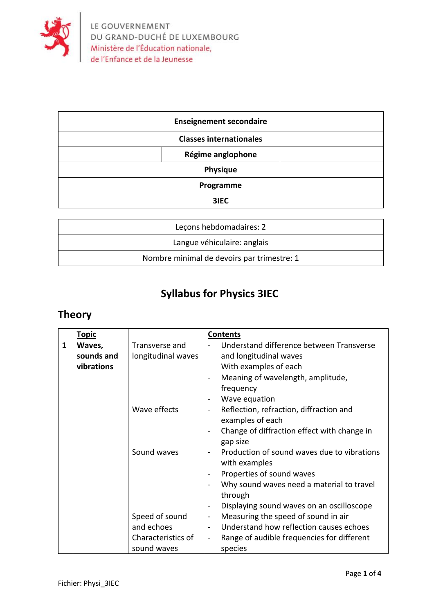

| <b>Enseignement secondaire</b> |  |  |
|--------------------------------|--|--|
| <b>Classes internationales</b> |  |  |
| Régime anglophone              |  |  |
| Physique                       |  |  |
| Programme                      |  |  |
| 3IEC                           |  |  |

| Lecons hebdomadaires: 2                    |
|--------------------------------------------|
| Langue véhiculaire: anglais                |
| Nombre minimal de devoirs par trimestre: 1 |

## **Syllabus for Physics 3IEC**

## **Theory**

|              | <b>Topic</b> |                    | <b>Contents</b>                                                        |
|--------------|--------------|--------------------|------------------------------------------------------------------------|
| $\mathbf{1}$ | Waves,       | Transverse and     | Understand difference between Transverse                               |
|              | sounds and   | longitudinal waves | and longitudinal waves                                                 |
|              | vibrations   |                    | With examples of each                                                  |
|              |              |                    | Meaning of wavelength, amplitude,<br>$\blacksquare$                    |
|              |              |                    | frequency                                                              |
|              |              |                    | Wave equation<br>$\qquad \qquad \blacksquare$                          |
|              |              | Wave effects       | Reflection, refraction, diffraction and                                |
|              |              |                    | examples of each                                                       |
|              |              |                    | Change of diffraction effect with change in                            |
|              |              |                    | gap size                                                               |
|              |              | Sound waves        | Production of sound waves due to vibrations                            |
|              |              |                    | with examples                                                          |
|              |              |                    | Properties of sound waves<br>$\overline{\phantom{a}}$                  |
|              |              |                    | Why sound waves need a material to travel                              |
|              |              |                    | through                                                                |
|              |              |                    | Displaying sound waves on an oscilloscope<br>$\blacksquare$            |
|              |              | Speed of sound     | Measuring the speed of sound in air<br>$\blacksquare$                  |
|              |              | and echoes         | Understand how reflection causes echoes                                |
|              |              | Characteristics of | Range of audible frequencies for different<br>$\overline{\phantom{a}}$ |
|              |              | sound waves        | species                                                                |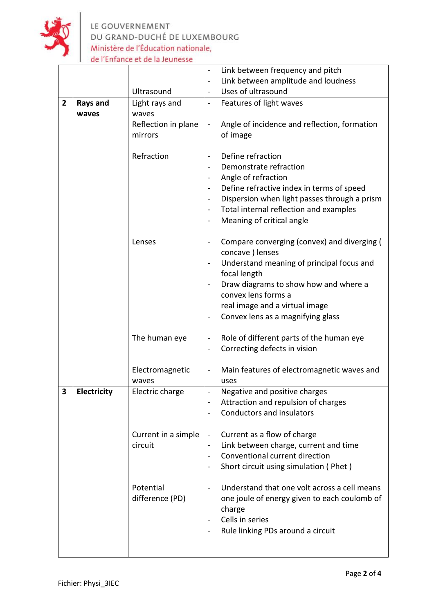

LE GOUVERNEMENT DU GRAND-DUCHÉ DE LUXEMBOURG Ministère de l'Éducation nationale, de l'Enfance et de la Jeunesse

|                |                            |                     | Link between frequency and pitch                                         |  |  |
|----------------|----------------------------|---------------------|--------------------------------------------------------------------------|--|--|
|                |                            |                     | Link between amplitude and loudness<br>$\overline{\phantom{0}}$          |  |  |
|                | Ultrasound                 |                     | Uses of ultrasound                                                       |  |  |
| $\overline{2}$ | Rays and<br>Light rays and |                     | Features of light waves<br>$\overline{\phantom{0}}$                      |  |  |
|                | waves                      | waves               |                                                                          |  |  |
|                |                            | Reflection in plane | Angle of incidence and reflection, formation<br>$\overline{\phantom{0}}$ |  |  |
|                |                            | mirrors             | of image                                                                 |  |  |
|                |                            |                     |                                                                          |  |  |
|                |                            | Refraction          | Define refraction<br>$\qquad \qquad \blacksquare$                        |  |  |
|                |                            |                     | Demonstrate refraction                                                   |  |  |
|                |                            |                     | Angle of refraction                                                      |  |  |
|                |                            |                     | Define refractive index in terms of speed                                |  |  |
|                |                            |                     | Dispersion when light passes through a prism<br>$\blacksquare$           |  |  |
|                |                            |                     | Total internal reflection and examples                                   |  |  |
|                |                            |                     | Meaning of critical angle<br>$\qquad \qquad \blacksquare$                |  |  |
|                |                            |                     |                                                                          |  |  |
|                |                            | Lenses              | Compare converging (convex) and diverging (<br>$\overline{\phantom{0}}$  |  |  |
|                |                            |                     | concave ) lenses                                                         |  |  |
|                |                            |                     | Understand meaning of principal focus and<br>$\overline{\phantom{0}}$    |  |  |
|                |                            |                     | focal length                                                             |  |  |
|                |                            |                     | Draw diagrams to show how and where a                                    |  |  |
|                |                            |                     | convex lens forms a                                                      |  |  |
|                |                            |                     | real image and a virtual image                                           |  |  |
|                |                            |                     | Convex lens as a magnifying glass<br>$\overline{\phantom{0}}$            |  |  |
|                |                            | The human eye       | Role of different parts of the human eye<br>$\blacksquare$               |  |  |
|                |                            |                     | Correcting defects in vision<br>$\overline{\phantom{0}}$                 |  |  |
|                |                            |                     |                                                                          |  |  |
|                |                            | Electromagnetic     | Main features of electromagnetic waves and<br>-                          |  |  |
|                |                            | waves               | uses                                                                     |  |  |
| 3              | Electricity                | Electric charge     | Negative and positive charges                                            |  |  |
|                |                            |                     | Attraction and repulsion of charges                                      |  |  |
|                |                            |                     | <b>Conductors and insulators</b>                                         |  |  |
|                |                            |                     |                                                                          |  |  |
|                |                            | Current in a simple | Current as a flow of charge<br>$\qquad \qquad \blacksquare$              |  |  |
|                |                            | circuit             | Link between charge, current and time<br>$\overline{\phantom{0}}$        |  |  |
|                |                            |                     | Conventional current direction<br>$\overline{\phantom{0}}$               |  |  |
|                |                            |                     | Short circuit using simulation (Phet)<br>$\overline{\phantom{0}}$        |  |  |
|                |                            |                     |                                                                          |  |  |
|                |                            | Potential           | Understand that one volt across a cell means<br>$\blacksquare$           |  |  |
|                |                            | difference (PD)     | one joule of energy given to each coulomb of                             |  |  |
|                |                            |                     | charge<br>Cells in series                                                |  |  |
|                |                            |                     | Rule linking PDs around a circuit<br>$\qquad \qquad \blacksquare$        |  |  |
|                |                            |                     |                                                                          |  |  |
|                |                            |                     |                                                                          |  |  |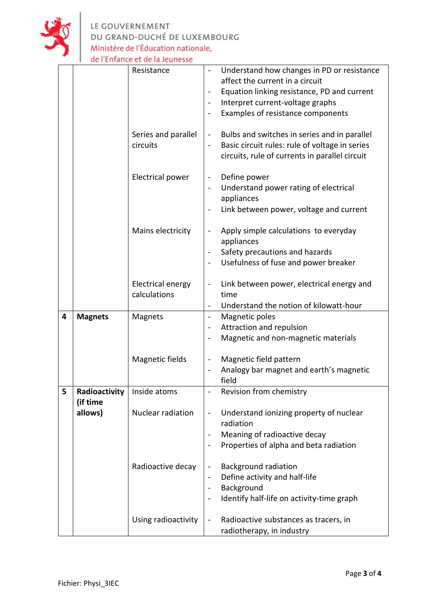

LE GOUVERNEMENT<br>DU GRAND-DUCHÉ DE LUXEMBOURG<br>Ministère de l'Éducation nationale,<br>de l'Enfance et de la Jeunesse

|   | Resistance<br>Series and parallel<br>circuits<br>Electrical power         |                                          | Understand how changes in PD or resistance<br>affect the current in a circuit<br>Equation linking resistance, PD and current<br>Interpret current-voltage graphs<br>Examples of resistance components<br>Bulbs and switches in series and in parallel<br>$\blacksquare$<br>Basic circuit rules: rule of voltage in series<br>circuits, rule of currents in parallel circuit<br>Define power<br>$\overline{\phantom{a}}$<br>Understand power rating of electrical<br>appliances |
|---|---------------------------------------------------------------------------|------------------------------------------|--------------------------------------------------------------------------------------------------------------------------------------------------------------------------------------------------------------------------------------------------------------------------------------------------------------------------------------------------------------------------------------------------------------------------------------------------------------------------------|
|   |                                                                           | Mains electricity                        | Link between power, voltage and current<br>Apply simple calculations to everyday<br>appliances<br>Safety precautions and hazards                                                                                                                                                                                                                                                                                                                                               |
|   |                                                                           | <b>Electrical energy</b><br>calculations | Usefulness of fuse and power breaker<br>Link between power, electrical energy and<br>time<br>Understand the notion of kilowatt-hour                                                                                                                                                                                                                                                                                                                                            |
| 4 | <b>Magnets</b>                                                            | Magnets<br>Magnetic fields               | Magnetic poles<br>$\blacksquare$<br>Attraction and repulsion<br>Magnetic and non-magnetic materials<br>Magnetic field pattern                                                                                                                                                                                                                                                                                                                                                  |
|   |                                                                           |                                          | Analogy bar magnet and earth's magnetic<br>field                                                                                                                                                                                                                                                                                                                                                                                                                               |
| 5 | Radioactivity<br>Inside atoms<br>(if time<br>Nuclear radiation<br>allows) | Revision from chemistry                  |                                                                                                                                                                                                                                                                                                                                                                                                                                                                                |
|   |                                                                           |                                          | Understand ionizing property of nuclear<br>$\qquad \qquad \blacksquare$<br>radiation<br>Meaning of radioactive decay<br>Properties of alpha and beta radiation                                                                                                                                                                                                                                                                                                                 |
|   |                                                                           | Radioactive decay                        | <b>Background radiation</b><br>Define activity and half-life<br>$\overline{\phantom{a}}$<br>Background<br>Identify half-life on activity-time graph                                                                                                                                                                                                                                                                                                                            |
|   |                                                                           | Using radioactivity                      | Radioactive substances as tracers, in<br>$\qquad \qquad \blacksquare$<br>radiotherapy, in industry                                                                                                                                                                                                                                                                                                                                                                             |